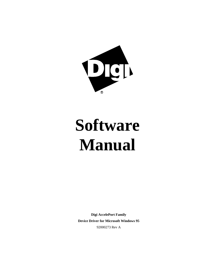

# **Software Manual**

**Digi AccelePort Family Device Driver for Microsoft Windows 95** 92000273 Rev A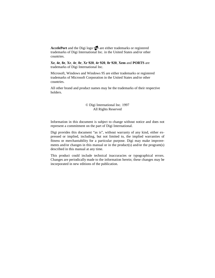AccelePort and the Digi logo **polyton** are either trademarks or registered trademarks of Digi International Inc. in the United States and/or other countries.

**Xe**, **4e**, **8e**, **Xr**, **4r**, **8r**, **Xr 920**, **4r 920**, **8r 920**, **Xem** and **PORTS** are trademarks of Digi International Inc.

Microsoft, Windows and Windows 95 are either trademarks or registered trademarks of Microsoft Corporation in the United States and/or other countries.

All other brand and product names may be the trademarks of their respective holders.

#### © Digi International Inc. 1997 All Rights Reserved

Information in this document is subject to change without notice and does not represent a commitment on the part of Digi International.

Digi provides this document "as is", without warranty of any kind, either expressed or implied, including, but not limited to, the implied warranties of fitness or merchantability for a particular purpose. Digi may make improvements and/or changes in this manual or in the product(s) and/or the program(s) described in this manual at any time.

This product could include technical inaccuracies or typographical errors. Changes are periodically made to the information herein; these changes may be incorporated in new editions of the publication.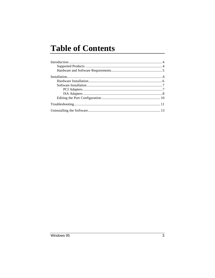# **Table of Contents**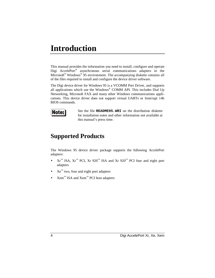## **Introduction**

This manual provides the information you need to install, configure and operate Digi AccelePort® asynchronous serial communications adapters in the Microsoft® Windows® 95 environment. The accompanying diskette contains all of the files required to install and configure the device driver software.

The Digi device driver for Windows 95 is a VCOMM Port Driver, and supports all applications which use the Windows® COMM API. This includes Dial Up Networking, Microsoft FAX and many other Windows communications applications. This device driver does not support virtual UARTs or Interrupt 14h BIOS commands.



See the file **README95.WRI** on the distribution diskette for installation notes and other information not available at this manual's press time.

### **Supported Products**

The Windows 95 device driver package supports the following AccelePort adapters:

- $\operatorname{Kr}^{\mathbb{N}}$  ISA,  $\operatorname{Kr}^{\mathbb{N}}$  PCI,  $\operatorname{Xr}$  920<sup>™</sup> ISA and  $\operatorname{Xr}$  920<sup>™</sup> PCI four and eight port adapters
- $Xe^{m}$  two, four and eight port adapters
- $\mathbf{Xem}^{\mathbb{M}}$  ISA and  $\mathbf{Xem}^{\mathbb{M}}$  PCI host adapters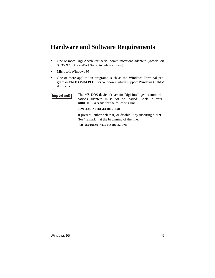### **Hardware and Software Requirements**

- One or more Digi AccelePort serial communications adapters (AccelePort Xr/Xr 920, AccelePort Xe or AccelePort Xem)
- Microsoft Windows 95
- One or more application programs, such as the Windows Terminal program or PROCOMM PLUS for Windows, which support Windows COMM API calls



The MS-DOS device driver for Digi intelligent communications adapters must *not* be loaded. Look in your **CONFIG.SYS** file for the following line:

**DEVICE=C:\DIGI\XIDOS5.SYS**

If present, either delete it, or disable it by inserting "**REM**" (for "remark") at the beginning of the line:

**REM DEVICE=C:\DIGI\XIDOS5.SYS**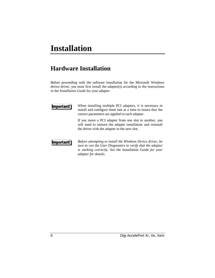# **Installation**

### **Hardware Installation**

Before proceeding with the software installation for the Microsoft Windows device driver, you must first install the adapter(s) according to the instructions in the *Installation Guide* for your adapter.



When installing multiple PCI adapters, it is necessary to install and configure them one at a time to insure that the correct parameters are applied to each adapter.

If you move a PCI adapter from one slot to another, you will need to remove the adapter installation and reinstall the driver with the adapter in the new slot.



*Before attempting to install the Windows Device driver, be sure to run the User Diagnostics to verify that the adapter is working correctly. See the* Installation Guide *for your adapter for details.*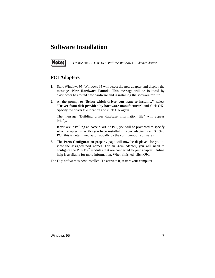### **Software Installation**



*Do not run SETUP to install the Windows 95 device driver.*

#### **PCI Adapters**

- **1.** Start Windows 95. Windows 95 will detect the new adapter and display the message "**New Hardware Found**". This message will be followed by "Windows has found new hardware and is installing the software for it."
- **2.** At the prompt to "**Select which driver you want to install…**", select "**Driver from disk provided by hardware manufacturer**" and click **OK**. Specify the driver file location and click **OK** again.

The message "Building driver database information file" will appear briefly.

If you are installing an AccelePort Xr PCI, you will be prompted to specify which adapter (4r or 8r) you have installed (if your adapter is an Xr 920 PCI, this is determined automatically by the configuration software).

**3.** The **Ports Configuration** property page will now be displayed for you to view the assigned port names. For an Xem adapter, you will need to configure the PORTS<sup>™</sup> modules that are connected to your adapter. Online help is available for more information. When finished, click **OK**.

The Digi software is now installed. To activate it, restart your computer.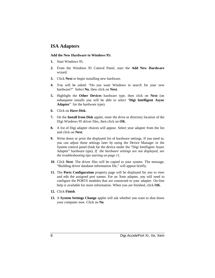#### **ISA Adapters**

#### **Add the New Hardware to Windows 95:**

- **1.** Start Windows 95.
- **2.** From the Windows 95 Control Panel, start the **Add New Hardware** wizard.
- **3.** Click **Next** to begin installing new hardware.
- **4.** You will be asked: "Do you want Windows to search for your new hardware?" Select **No**, then click on **Next**.
- **5.** Highlight the **Other Devices** hardware type, then click on **Next** (on subsequent installs you will be able to select "**Digi Intelligent Async Adapter**" for the hardware type).
- **6.** Click on **Have Disk**.
- **7.** On the **Install from Disk** applet, enter the drive or directory location of the Digi Windows 95 driver files, then click on **OK**.
- **8.** A list of Digi adapter choices will appear. Select your adapter from the list and click on **Next**.
- **9.** Write down or print the displayed list of hardware settings. If you need to, you can adjust these settings later by using the Device Manager in the System control panel (look for the device under the "Digi Intelligent Async Adapter" hardware type). *If the hardware settings are not displayed, see the troubleshooting tips starting on page 11.*
- **10.** Click **Next**. The driver files will be copied to your system. The message, "Building driver database information file," will appear briefly.
- **11.** The **Ports Configuration** property page will be displayed for you to view and edit the assigned port names. For an Xem adapter, you will need to configure the PORTS modules that are connected to your adapter. On-line help is available for more information. When you are finished, click **OK**.
- **12.** Click **Finish**.
- **13.** A **System Settings Change** applet will ask whether you want to shut down your computer now. Click on **No**.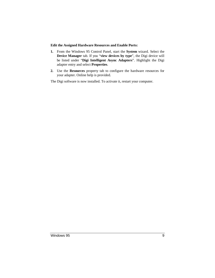#### **Edit the Assigned Hardware Resources and Enable Ports:**

- **1.** From the Windows 95 Control Panel, start the **System** wizard. Select the **Device Manager** tab. If you "**view devices by type**", the Digi device will be listed under "**Digi Intelligent Async Adapters**". Highlight the Digi adapter entry and select **Properties**.
- **2.** Use the **Resources** property tab to configure the hardware resources for your adapter. Online help is provided.

The Digi software is now installed. To activate it, restart your computer.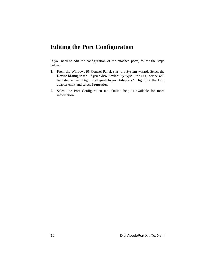### **Editing the Port Configuration**

If you need to edit the configuration of the attached ports, follow the steps below:

- **1.** From the Windows 95 Control Panel, start the **System** wizard. Select the **Device Manager** tab. If you "**view devices by type**", the Digi device will be listed under "**Digi Intelligent Async Adapters**". Highlight the Digi adapter entry and select **Properties**.
- **2.** Select the Port Configuration tab. Online help is available for more information.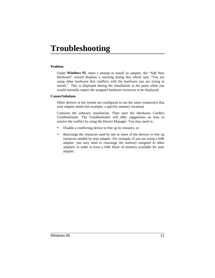# **Troubleshooting**

#### **Problem**

Under **Windows 95**, when I attempt to install an adapter, the "Add New Hardware" wizard displays a warning dialog box which says "You are using other hardware that conflicts with the hardware you are trying to install." This is displayed during the installation at the point when you would normally expect the assigned hardware resources to be displayed.

#### **Causes/Solutions**

Other devices in the system are configured to use the same resource(s) that your adapter needs (for example, a specific memory location).

Continue the software installation. Then start the Hardware Conflict Troubleshooter. The Troubleshooter will offer suggestions on how to resolve the conflict by using the Device Manager. You may need to:

- Disable a conflicting device to free up its resource, or
- Rearrange the resources used by one or more of the devices to free up resources needed by your adapter. For example, if you are using a 64K adapter, you may need to rearrange the memory assigned to other adapters in order to have a 64K block of memory available for your adapter.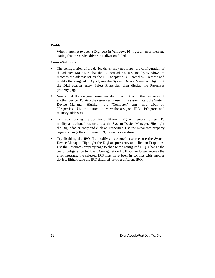#### **Problem**

When I attempt to open a Digi port in **Windows 95**, I get an error message stating that the device driver initialization failed.

#### **Causes/Solutions**

- The configuration of the device driver may not match the configuration of the adapter. Make sure that the I/O port address assigned by Windows 95 matches the address set on the ISA adapter's DIP switches. To view and modify the assigned I/O port, use the System Device Manager. Highlight the Digi adapter entry. Select Properties, then display the Resources property page.
- Verify that the assigned resources don't conflict with the resources of another device. To view the resources in use in the system, start the System Device Manager. Highlight the "Computer" entry and click on "Properties". Use the buttons to view the assigned IRQs, I/O ports and memory addresses.
- Try reconfiguring the port for a different IRQ or memory address. To modify an assigned resource, use the System Device Manager. Highlight the Digi adapter entry and click on Properties. Use the Resources property page to change the configured IRQ or memory address.
- Try disabling the IRQ. To modify an assigned resource, use the System Device Manager. Highlight the Digi adapter entry and click on Properties. Use the Resources property page to change the configured IRQ. Change the basic configuration to "Basic Configuration 1". If you no longer receive the error message, the selected IRQ may have been in conflict with another device. Either leave the IRQ disabled, or try a different IRQ.